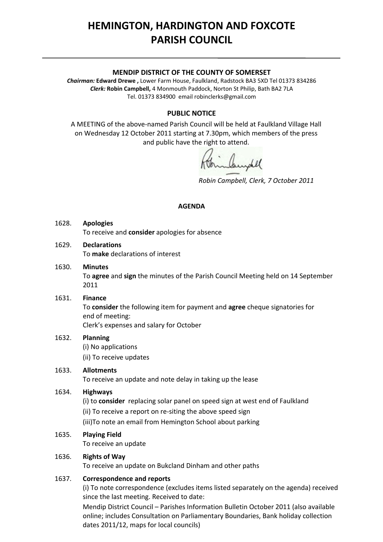# **HEMINGTON, HARDINGTON AND FOXCOTE PARISH COUNCIL**

#### **MENDIP DISTRICT OF THE COUNTY OF SOMERSET**

*Chairman:* **Edward Drewe ,** Lower Farm House, Faulkland, Radstock BA3 5XD Tel 01373 834286 *Clerk:* **Robin Campbell,** 4 Monmouth Paddock, Norton St Philip, Bath BA2 7LA Tel. 01373 834900 email [robinclerks@gmail.com](mailto:robinclerks@googlemail.com)

## **PUBLIC NOTICE**

A MEETING of the above‐named Parish Council will be held at Faulkland Village Hall on Wednesday 12 October 2011 starting at 7.30pm, which members of the press and public have the right to attend.

*Robin Campbell, Clerk, 7 October 2011*

#### **AGENDA**

## 1628. **Apologies** To receive and **consider** apologies for absence

# 1629. **Declarations**

To **make** declarations of interest

# 1630. **Minutes**

To **agree** and **sign** the minutes of the Parish Council Meeting held on 14 September 2011

## 1631. **Finance**

To **consider** the following item for payment and **agree** cheque signatories for end of meeting: Clerk's expenses and salary for October

## 1632. **Planning**

(i) No applications (ii) To receive updates

## 1633. **Allotments**

To receive an update and note delay in taking up the lease

## 1634. **Highways**

(i) to **consider** replacing solar panel on speed sign at west end of Faulkland

(ii) To receive a report on re‐siting the above speed sign

(iii)To note an email from Hemington School about parking

## 1635. **Playing Field**

To receive an update

## 1636. **Rights of Way**

To receive an update on Bukcland Dinham and other paths

## 1637. **Correspondence and reports**

(i) To note correspondence (excludes items listed separately on the agenda) received since the last meeting. Received to date:

Mendip District Council – Parishes Information Bulletin October 2011 (also available online; includes Consultation on Parliamentary Boundaries, Bank holiday collection dates 2011/12, maps for local councils)